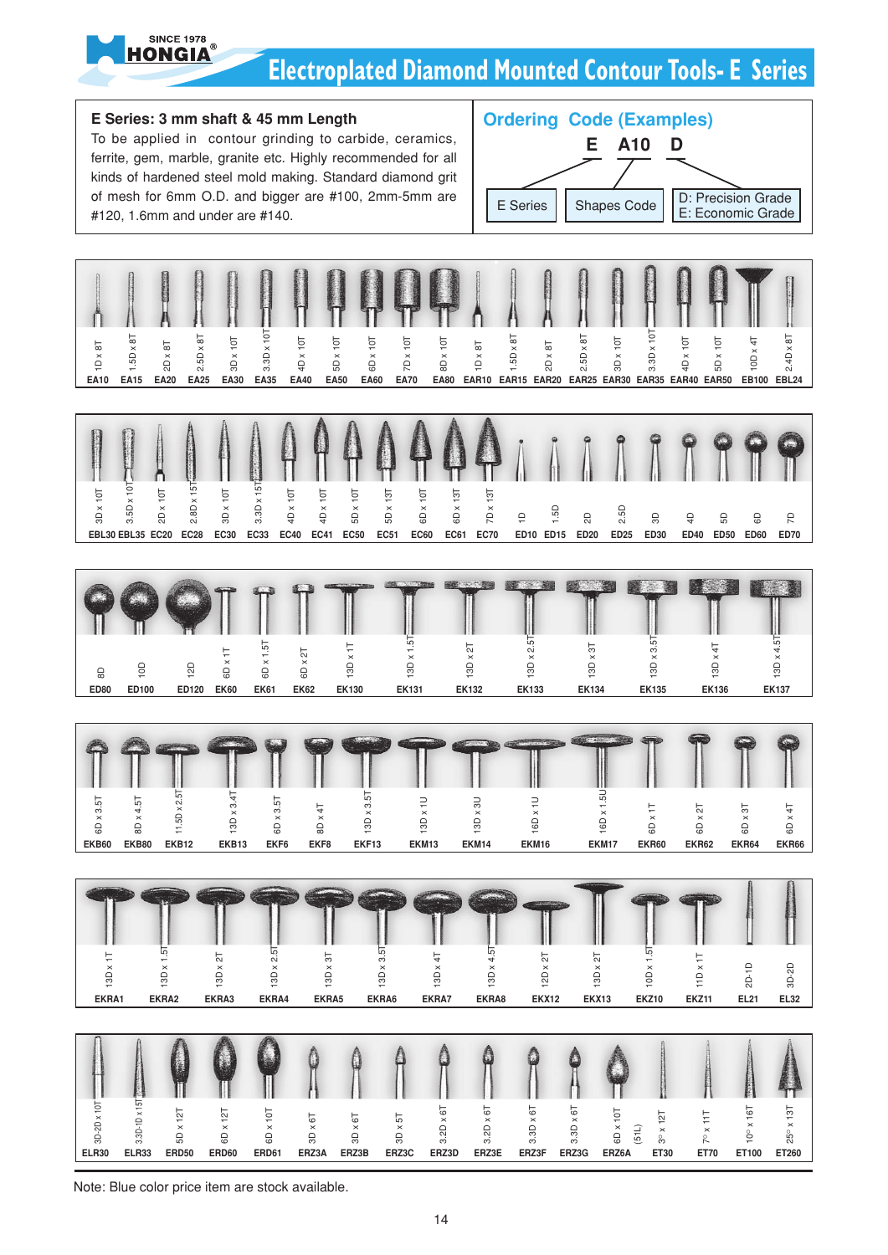

### **Electroplated Diamond Mounted Contour Tools- E Series**



Note: Blue color price item are stock available.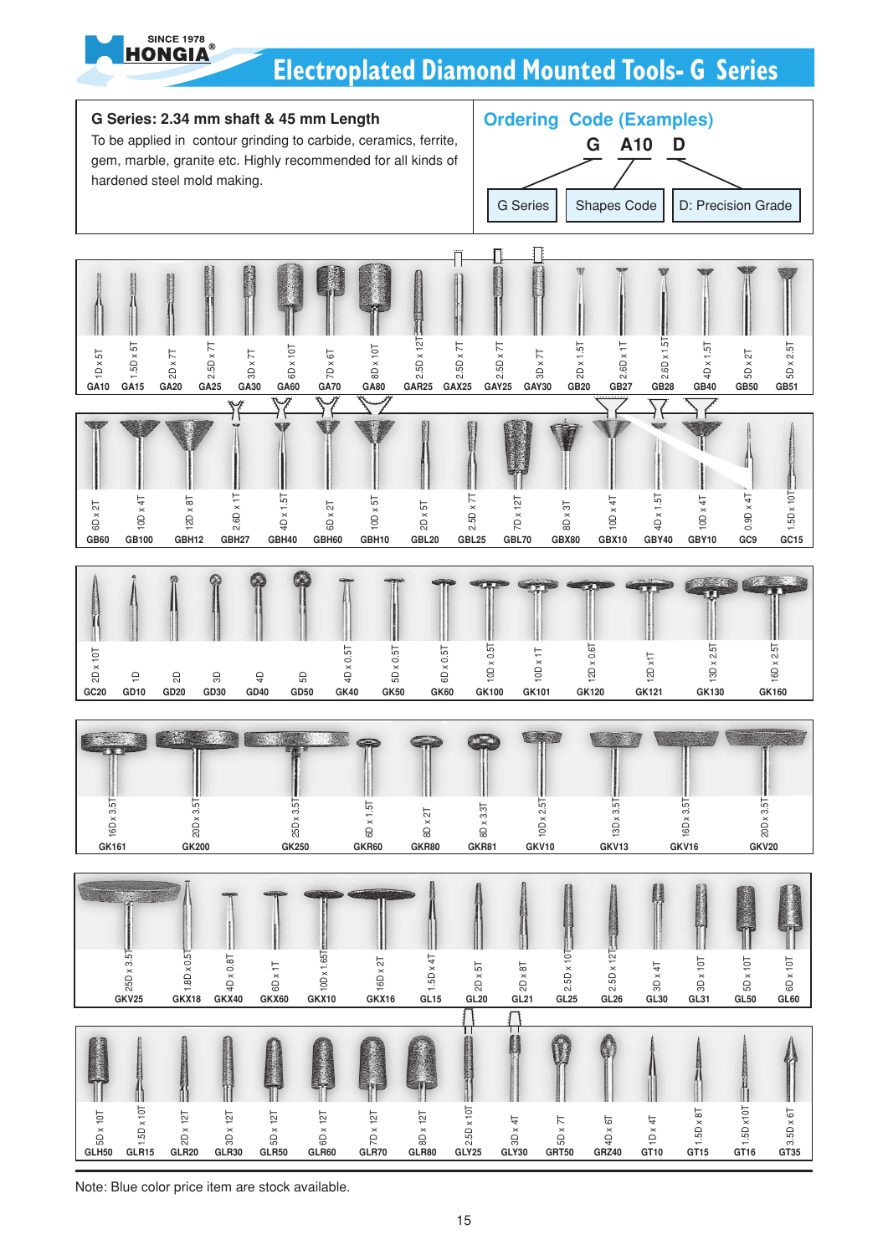

# **Electroplated Diamond Mounted Tools- G Series**



Note: Blue color price item are stock available.